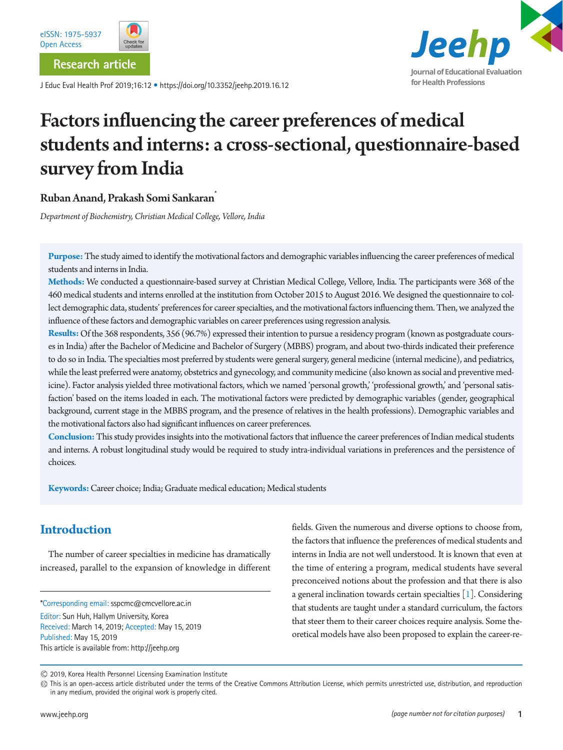

**Research article**

J Educ Eval Health Prof 2019;16:12 • https://doi.org/10.3352/jeehp.2019.16.12

# Jeehp **Journal of Educational Evaluation for Health Professions**

# Factors influencing the career preferences of medical students and interns: a cross-sectional, questionnaire-based survey from India

## Ruban Anand, Prakash Somi Sankaran\*

*Department of Biochemistry, Christian Medical College, Vellore, India* 

**Purpose:** The study aimed to identify the motivational factors and demographic variables influencing the career preferences of medical students and interns in India.

**Methods:** We conducted a questionnaire-based survey at Christian Medical College, Vellore, India. The participants were 368 of the 460 medical students and interns enrolled at the institution from October 2015 to August 2016. We designed the questionnaire to collect demographic data, students' preferences for career specialties, and the motivational factors influencing them. Then, we analyzed the influence of these factors and demographic variables on career preferences using regression analysis.

**Results:** Of the 368 respondents, 356 (96.7%) expressed their intention to pursue a residency program (known as postgraduate courses in India) after the Bachelor of Medicine and Bachelor of Surgery (MBBS) program, and about two-thirds indicated their preference to do so in India. The specialties most preferred by students were general surgery, general medicine (internal medicine), and pediatrics, while the least preferred were anatomy, obstetrics and gynecology, and community medicine (also known as social and preventive medicine). Factor analysis yielded three motivational factors, which we named 'personal growth,' 'professional growth,' and 'personal satisfaction' based on the items loaded in each. The motivational factors were predicted by demographic variables (gender, geographical background, current stage in the MBBS program, and the presence of relatives in the health professions). Demographic variables and the motivational factors also had significant influences on career preferences.

**Conclusion:** This study provides insights into the motivational factors that influence the career preferences of Indian medical students and interns. A robust longitudinal study would be required to study intra-individual variations in preferences and the persistence of choices.

**Keywords:** Career choice; India; Graduate medical education; Medical students

# **Introduction**

The number of career specialties in medicine has dramatically increased, parallel to the expansion of knowledge in different

\*Corresponding email: sspcmc@cmcvellore.ac.in

Editor: Sun Huh, Hallym University, Korea Received: March 14, 2019; Accepted: May 15, 2019 Published: May 15, 2019 This article is available from: http://jeehp.org

fields. Given the numerous and diverse options to choose from, the factors that influence the preferences of medical students and interns in India are not well understood. It is known that even at the time of entering a program, medical students have several preconceived notions about the profession and that there is also a general inclination towards certain specialties [\[1\]](#page-9-0). Considering that students are taught under a standard curriculum, the factors that steer them to their career choices require analysis. Some theoretical models have also been proposed to explain the career-re-

<sup>2019,</sup> Korea Health Personnel Licensing Examination Institute

This is an open-access article distributed under the terms of the Creative Commons Attribution License, which permits unrestricted use, distribution, and reproduction in any medium, provided the original work is properly cited.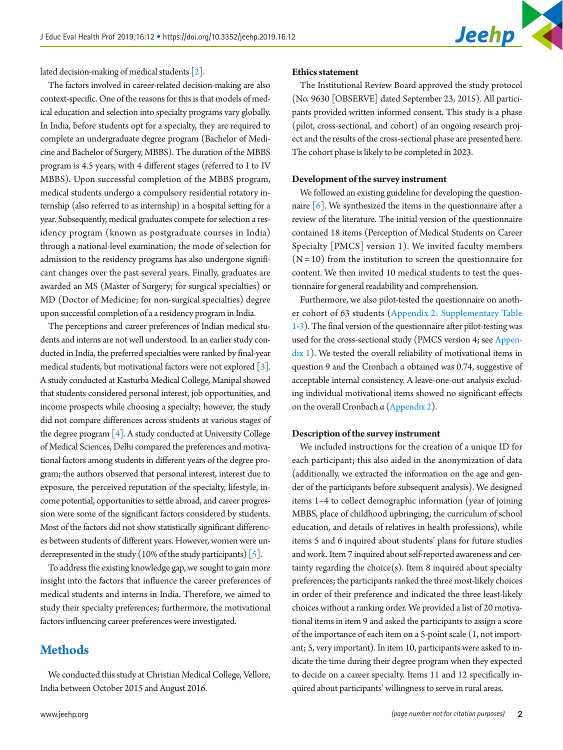lated decision-making of medical students [\[2\]](#page-9-1).

The factors involved in career-related decision-making are also context-specific. One of the reasons for this is that models of medical education and selection into specialty programs vary globally. In India, before students opt for a specialty, they are required to complete an undergraduate degree program (Bachelor of Medicine and Bachelor of Surgery, MBBS). The duration of the MBBS program is 4.5 years, with 4 different stages (referred to I to IV MBBS). Upon successful completion of the MBBS program, medical students undergo a compulsory residential rotatory internship (also referred to as internship) in a hospital setting for a year. Subsequently, medical graduates compete for selection a residency program (known as postgraduate courses in India) through a national-level examination; the mode of selection for admission to the residency programs has also undergone significant changes over the past several years. Finally, graduates are awarded an MS (Master of Surgery; for surgical specialties) or MD (Doctor of Medicine; for non-surgical specialties) degree upon successful completion of a a residency program in India.

The perceptions and career preferences of Indian medical students and interns are not well understood. In an earlier study conducted in India, the preferred specialties were ranked by final-year medical students, but motivational factors were not explored [\[3](#page-9-2)]. A study conducted at Kasturba Medical College, Manipal showed that students considered personal interest, job opportunities, and income prospects while choosing a specialty; however, the study did not compare differences across students at various stages of the degree program  $[4]$ . A study conducted at University College of Medical Sciences, Delhi compared the preferences and motivational factors among students in different years of the degree program; the authors observed that personal interest, interest due to exposure, the perceived reputation of the specialty, lifestyle, income potential, opportunities to settle abroad, and career progression were some of the significant factors considered by students. Most of the factors did not show statistically significant differences between students of different years. However, women were underrepresented in the study (10% of the study participants) [\[5\]](#page-9-4).

To address the existing knowledge gap, we sought to gain more insight into the factors that influence the career preferences of medical students and interns in India. Therefore, we aimed to study their specialty preferences; furthermore, the motivational factors influencing career preferences were investigated.

## **Methods**

We conducted this study at Christian Medical College, Vellore, India between October 2015 and August 2016.

#### **Ethics statement**

The Institutional Review Board approved the study protocol (No. 9630 [OBSERVE] dated September 23, 2015). All participants provided written informed consent. This study is a phase (pilot, cross-sectional, and cohort) of an ongoing research project and the results of the cross-sectional phase are presented here. The cohort phase is likely to be completed in 2023.

### **Development of the survey instrument**

We followed an existing guideline for developing the questionnaire  $\lceil 6 \rceil$ . We synthesized the items in the questionnaire after a review of the literature. The initial version of the questionnaire contained 18 items (Perception of Medical Students on Career Specialty [PMCS] version 1). We invited faculty members  $(N = 10)$  from the institution to screen the questionnaire for content. We then invited 10 medical students to test the questionnaire for general readability and comprehension.

Furthermore, we also pilot-tested the questionnaire on another cohort of 63 students ([Appendix 2](#page-13-0): [Supplementary Table](#page-13-0)  [1-3\)](#page-13-0). The final version of the questionnaire after pilot-testing was used for the cross-sectional study (PMCS version 4; see [Appen](#page-10-0)[dix 1](#page-10-0)). We tested the overall reliability of motivational items in question 9 and the Cronbach α obtained was 0.74, suggestive of acceptable internal consistency. A leave-one-out analysis excluding individual motivational items showed no significant effects on the overall Cronbach α [\(Appendix 2](#page-13-0)).

#### **Description of the survey instrument**

We included instructions for the creation of a unique ID for each participant; this also aided in the anonymization of data (additionally, we extracted the information on the age and gender of the participants before subsequent analysis). We designed items 1–4 to collect demographic information (year of joining MBBS, place of childhood upbringing, the curriculum of school education, and details of relatives in health professions), while items 5 and 6 inquired about students' plans for future studies and work. Item 7 inquired about self-reported awareness and certainty regarding the choice $(s)$ . Item 8 inquired about specialty preferences; the participants ranked the three most-likely choices in order of their preference and indicated the three least-likely choices without a ranking order. We provided a list of 20 motivational items in item 9 and asked the participants to assign a score of the importance of each item on a 5-point scale (1, not important; 5, very important). In item 10, participants were asked to indicate the time during their degree program when they expected to decide on a career specialty. Items 11 and 12 specifically inquired about participants' willingness to serve in rural areas.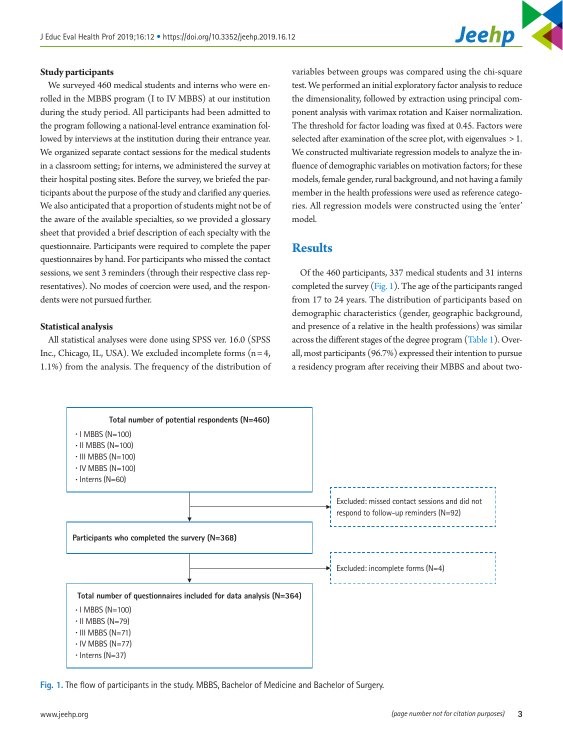

#### **Study participants**

We surveyed 460 medical students and interns who were enrolled in the MBBS program (I to IV MBBS) at our institution during the study period. All participants had been admitted to the program following a national-level entrance examination followed by interviews at the institution during their entrance year. We organized separate contact sessions for the medical students in a classroom setting; for interns, we administered the survey at their hospital posting sites. Before the survey, we briefed the participants about the purpose of the study and clarified any queries. We also anticipated that a proportion of students might not be of the aware of the available specialties, so we provided a glossary sheet that provided a brief description of each specialty with the questionnaire. Participants were required to complete the paper questionnaires by hand. For participants who missed the contact sessions, we sent 3 reminders (through their respective class representatives). No modes of coercion were used, and the respondents were not pursued further.

#### **Statistical analysis**

All statistical analyses were done using SPSS ver. 16.0 (SPSS Inc., Chicago, IL, USA). We excluded incomplete forms  $(n = 4,$ 1.1%) from the analysis. The frequency of the distribution of variables between groups was compared using the chi-square test. We performed an initial exploratory factor analysis to reduce the dimensionality, followed by extraction using principal component analysis with varimax rotation and Kaiser normalization. The threshold for factor loading was fixed at 0.45. Factors were selected after examination of the scree plot, with eigenvalues  $> 1$ . We constructed multivariate regression models to analyze the influence of demographic variables on motivation factors; for these models, female gender, rural background, and not having a family member in the health professions were used as reference categories. All regression models were constructed using the 'enter' model.

## **Results**

Of the 460 participants, 337 medical students and 31 interns completed the survey  $(Fig. 1)$ . The age of the participants ranged from 17 to 24 years. The distribution of participants based on demographic characteristics (gender, geographic background, and presence of a relative in the health professions) was similar across the different stages of the degree program [\(Table 1\)](#page-3-0). Overall, most participants (96.7%) expressed their intention to pursue a residency program after receiving their MBBS and about two-

<span id="page-2-0"></span>

**Fig. 1.** The flow of participants in the study. MBBS, Bachelor of Medicine and Bachelor of Surgery.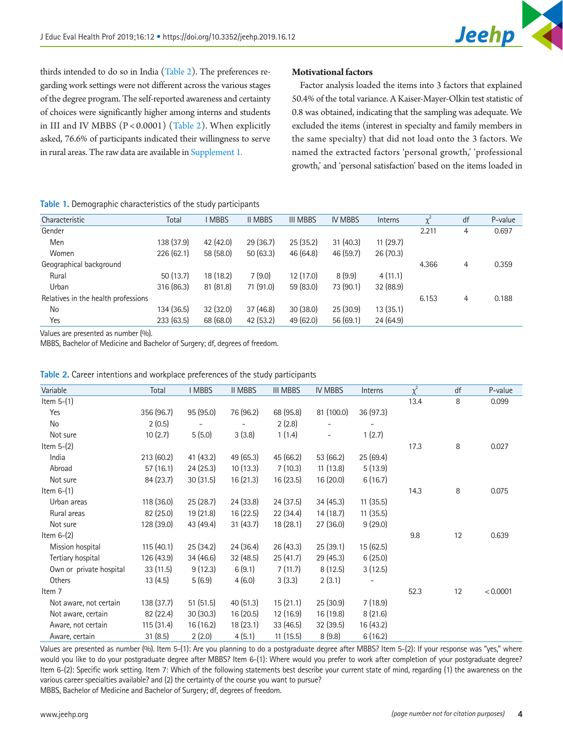thirds intended to do so in India [\(Table 2\)](#page-3-1). The preferences regarding work settings were not different across the various stages of the degree program. The self-reported awareness and certainty of choices were significantly higher among interns and students in III and IV MBBS (P < 0.0001) [\(Table 2](#page-3-1)). When explicitly asked, 76.6% of participants indicated their willingness to serve in rural areas. The raw data are available in [Supplement 1.](#page-9-6)

## <span id="page-3-0"></span>**Table 1.** Demographic characteristics of the study participants

| Characteristic                      | Total      | <b>I MBBS</b> | <b>II MBBS</b> | <b>III MBBS</b> | <b>IV MBBS</b> | <b>Interns</b> | $\chi^2$ | df | P-value |
|-------------------------------------|------------|---------------|----------------|-----------------|----------------|----------------|----------|----|---------|
| Gender                              |            |               |                |                 |                |                | 2.211    | 4  | 0.697   |
| Men                                 | 138 (37.9) | 42 (42.0)     | 29(36.7)       | 25(35.2)        | 31(40.3)       | 11(29.7)       |          |    |         |
| Women                               | 226(62.1)  | 58 (58.0)     | 50(63.3)       | 46 (64.8)       | 46(59.7)       | 26(70.3)       |          |    |         |
| Geographical background             |            |               |                |                 |                |                | 4.366    | 4  | 0.359   |
| Rural                               | 50(13.7)   | 18 (18.2)     | 7(9.0)         | 12(17.0)        | 8(9.9)         | 4(11.1)        |          |    |         |
| Urban                               | 316 (86.3) | 81(81.8)      | 71 (91.0)      | 59 (83.0)       | 73 (90.1)      | 32 (88.9)      |          |    |         |
| Relatives in the health professions |            |               |                |                 |                |                | 6.153    | 4  | 0.188   |
| No                                  | 134 (36.5) | 32(32.0)      | 37(46.8)       | 30(38.0)        | 25(30.9)       | 13(35.1)       |          |    |         |
| Yes                                 | 233(63.5)  | 68 (68.0)     | 42(53.2)       | 49 (62.0)       | 56(69.1)       | 24(64.9)       |          |    |         |

**Motivational factors** 

Factor analysis loaded the items into 3 factors that explained 50.4% of the total variance. A Kaiser-Mayer-Olkin test statistic of 0.8 was obtained, indicating that the sampling was adequate. We excluded the items (interest in specialty and family members in the same specialty) that did not load onto the 3 factors. We named the extracted factors 'personal growth,' 'professional growth,' and 'personal satisfaction' based on the items loaded in

Values are presented as number (%).

MBBS, Bachelor of Medicine and Bachelor of Surgery; df, degrees of freedom.

| Variable                | Total      | <b>I MBBS</b> | <b>II MBBS</b> | <b>III MBBS</b> | <b>IV MBBS</b>           | Interns   | $\overline{\chi^2}$ | df | P-value  |
|-------------------------|------------|---------------|----------------|-----------------|--------------------------|-----------|---------------------|----|----------|
| Item $5-(1)$            |            |               |                |                 |                          |           | 13.4                | 8  | 0.099    |
| Yes                     | 356 (96.7) | 95 (95.0)     | 76 (96.2)      | 68 (95.8)       | 81 (100.0)               | 36 (97.3) |                     |    |          |
| No                      | 2(0.5)     |               |                | 2(2.8)          |                          |           |                     |    |          |
| Not sure                | 10(2.7)    | 5(5.0)        | 3(3.8)         | 1(1.4)          | $\overline{\phantom{a}}$ | 1(2.7)    |                     |    |          |
| Item $5-(2)$            |            |               |                |                 |                          |           | 17.3                | 8  | 0.027    |
| India                   | 213(60.2)  | 41 (43.2)     | 49 (65.3)      | 45 (66.2)       | 53 (66.2)                | 25(69.4)  |                     |    |          |
| Abroad                  | 57(16.1)   | 24(25.3)      | 10(13.3)       | 7(10.3)         | 11(13.8)                 | 5(13.9)   |                     |    |          |
| Not sure                | 84 (23.7)  | 30(31.5)      | 16(21.3)       | 16 (23.5)       | 16 (20.0)                | 6(16.7)   |                     |    |          |
| Item $6-(1)$            |            |               |                |                 |                          |           | 14.3                | 8  | 0.075    |
| Urban areas             | 118 (36.0) | 25(28.7)      | 24 (33.8)      | 24 (37.5)       | 34 (45.3)                | 11(35.5)  |                     |    |          |
| Rural areas             | 82 (25.0)  | 19 (21.8)     | 16(22.5)       | 22 (34.4)       | 14 (18.7)                | 11(35.5)  |                     |    |          |
| Not sure                | 128 (39.0) | 43 (49.4)     | 31(43.7)       | 18 (28.1)       | 27 (36.0)                | 9(29.0)   |                     |    |          |
| Item $6-(2)$            |            |               |                |                 |                          |           | 9.8                 | 12 | 0.639    |
| Mission hospital        | 115(40.1)  | 25(34.2)      | 24 (36.4)      | 26 (43.3)       | 25(39.1)                 | 15 (62.5) |                     |    |          |
| Tertiary hospital       | 126(43.9)  | 34(46.6)      | 32(48.5)       | 25 (41.7)       | 29(45.3)                 | 6(25.0)   |                     |    |          |
| Own or private hospital | 33(11.5)   | 9(12.3)       | 6(9.1)         | 7(11.7)         | 8(12.5)                  | 3(12.5)   |                     |    |          |
| Others                  | 13(4.5)    | 5(6.9)        | 4(6.0)         | 3(3.3)          | 2(3.1)                   |           |                     |    |          |
| Item 7                  |            |               |                |                 |                          |           | 52.3                | 12 | < 0.0001 |
| Not aware, not certain  | 138 (37.7) | 51(51.5)      | 40(51.3)       | 15(21.1)        | 25(30.9)                 | 7(18.9)   |                     |    |          |
| Not aware, certain      | 82 (22.4)  | 30(30.3)      | 16(20.5)       | 12 (16.9)       | 16 (19.8)                | 8(21.6)   |                     |    |          |
| Aware, not certain      | 115 (31.4) | 16(16.2)      | 18(23.1)       | 33 (46.5)       | 32(39.5)                 | 16 (43.2) |                     |    |          |
| Aware, certain          | 31(8.5)    | 2(2.0)        | 4(5.1)         | 11(15.5)        | 8(9.8)                   | 6(16.2)   |                     |    |          |

#### <span id="page-3-1"></span>**Table 2.** Career intentions and workplace preferences of the study participants

Values are presented as number (%). Item 5-(1): Are you planning to do a postgraduate degree after MBBS? Item 5-(2): If your response was "yes," where would you like to do your postgraduate degree after MBBS? Item 6-(1): Where would you prefer to work after completion of your postgraduate degree? Item 6-(2): Specific work setting. Item 7: Which of the following statements best describe your current state of mind, regarding (1) the awareness on the various career specialties available? and (2) the certainty of the course you want to pursue?

MBBS, Bachelor of Medicine and Bachelor of Surgery; df, degrees of freedom.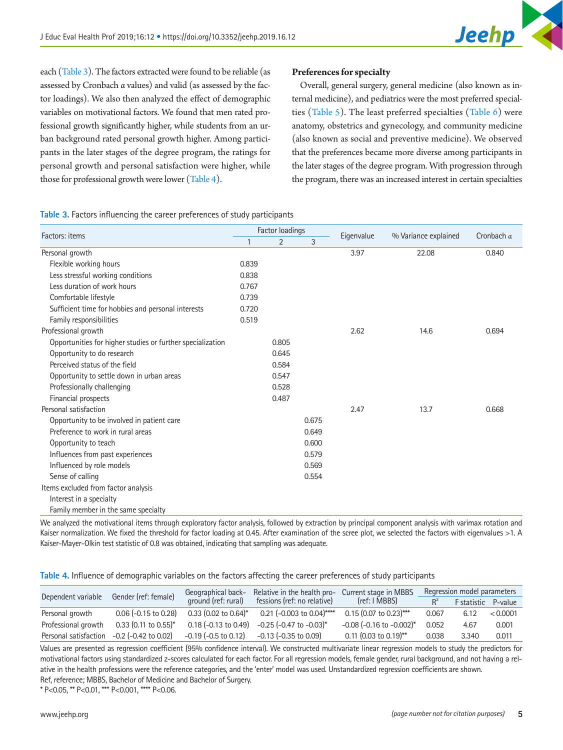

each [\(Table 3\)](#page-4-0). The factors extracted were found to be reliable (as assessed by Cronbach α values) and valid (as assessed by the factor loadings). We also then analyzed the effect of demographic variables on motivational factors. We found that men rated professional growth significantly higher, while students from an urban background rated personal growth higher. Among participants in the later stages of the degree program, the ratings for personal growth and personal satisfaction were higher, while those for professional growth were lower [\(Table 4\)](#page-4-1).

## **Preferences for specialty**

Overall, general surgery, general medicine (also known as internal medicine), and pediatrics were the most preferred specialties [\(Table 5\)](#page-5-0). The least preferred specialties [\(Table 6\)](#page-6-0) were anatomy, obstetrics and gynecology, and community medicine (also known as social and preventive medicine). We observed that the preferences became more diverse among participants in the later stages of the degree program. With progression through the program, there was an increased interest in certain specialties

<span id="page-4-0"></span>**Table 3.** Factors influencing the career preferences of study participants

| Factors: items                                             |              | Factor loadings |       | Eigenvalue | % Variance explained | Cronbach $\alpha$ |
|------------------------------------------------------------|--------------|-----------------|-------|------------|----------------------|-------------------|
|                                                            | $\mathbf{1}$ | $\overline{2}$  | 3     |            |                      |                   |
| Personal growth                                            |              |                 |       | 3.97       | 22.08                | 0.840             |
| Flexible working hours                                     | 0.839        |                 |       |            |                      |                   |
| Less stressful working conditions                          | 0.838        |                 |       |            |                      |                   |
| Less duration of work hours                                | 0.767        |                 |       |            |                      |                   |
| Comfortable lifestyle                                      | 0.739        |                 |       |            |                      |                   |
| Sufficient time for hobbies and personal interests         | 0.720        |                 |       |            |                      |                   |
| Family responsibilities                                    | 0.519        |                 |       |            |                      |                   |
| Professional growth                                        |              |                 |       | 2.62       | 14.6                 | 0.694             |
| Opportunities for higher studies or further specialization |              | 0.805           |       |            |                      |                   |
| Opportunity to do research                                 |              | 0.645           |       |            |                      |                   |
| Perceived status of the field                              |              | 0.584           |       |            |                      |                   |
| Opportunity to settle down in urban areas                  |              | 0.547           |       |            |                      |                   |
| Professionally challenging                                 |              | 0.528           |       |            |                      |                   |
| Financial prospects                                        |              | 0.487           |       |            |                      |                   |
| Personal satisfaction                                      |              |                 |       | 2.47       | 13.7                 | 0.668             |
| Opportunity to be involved in patient care                 |              |                 | 0.675 |            |                      |                   |
| Preference to work in rural areas                          |              |                 | 0.649 |            |                      |                   |
| Opportunity to teach                                       |              |                 | 0.600 |            |                      |                   |
| Influences from past experiences                           |              |                 | 0.579 |            |                      |                   |
| Influenced by role models                                  |              |                 | 0.569 |            |                      |                   |
| Sense of calling                                           |              |                 | 0.554 |            |                      |                   |
| Items excluded from factor analysis                        |              |                 |       |            |                      |                   |
| Interest in a specialty                                    |              |                 |       |            |                      |                   |
| Family member in the same specialty                        |              |                 |       |            |                      |                   |

We analyzed the motivational items through exploratory factor analysis, followed by extraction by principal component analysis with varimax rotation and Kaiser normalization. We fixed the threshold for factor loading at 0.45. After examination of the scree plot, we selected the factors with eigenvalues >1. A Kaiser-Mayer-Olkin test statistic of 0.8 was obtained, indicating that sampling was adequate.

<span id="page-4-1"></span>**Table 4.** Influence of demographic variables on the factors affecting the career preferences of study participants

| Dependent variable    | Gender (ref: female)      | Geographical back-                 | Relative in the health pro-     | Current stage in MBBS             |       | Regression model parameters |          |
|-----------------------|---------------------------|------------------------------------|---------------------------------|-----------------------------------|-------|-----------------------------|----------|
|                       |                           | ground (ref: rural)                | fessions (ref: no relative)     | (ref: I MBBS)                     | $R^2$ | <b>F</b> statistic          | P-value  |
| Personal growth       | $0.06$ (-0.15 to 0.28)    | $0.33$ (0.02 to 0.64) <sup>*</sup> | 0.21 (-0.003 to 0.04)****       | $0.15$ (0.07 to 0.23)***          | 0.067 | 6.12                        | < 0.0001 |
| Professional growth   | $0.33$ (0.11 to 0.55)*    | $0.18$ (-0.13 to 0.49)             | $-0.25$ ( $-0.47$ to $-0.03$ )* | $-0.08$ ( $-0.16$ to $-0.002$ )*  | 0.052 | 4.67                        | 0.001    |
| Personal satisfaction | $-0.2$ ( $-0.42$ to 0.02) | $-0.19$ ( $-0.5$ to $0.12$ )       | $-0.13$ ( $-0.35$ to 0.09)      | 0.11 $(0.03 \text{ to } 0.19)$ ** | 0.038 | 3.340                       | 0.011    |

Values are presented as regression coefficient (95% confidence interval). We constructed multivariate linear regression models to study the predictors for motivational factors using standardized z-scores calculated for each factor. For all regression models, female gender, rural background, and not having a relative in the health professions were the reference categories, and the 'enter' model was used. Unstandardized regression coefficients are shown. Ref, reference; MBBS, Bachelor of Medicine and Bachelor of Surgery.

\* P<0.05, \*\* P<0.01, \*\*\* P<0.001, \*\*\*\* P<0.06.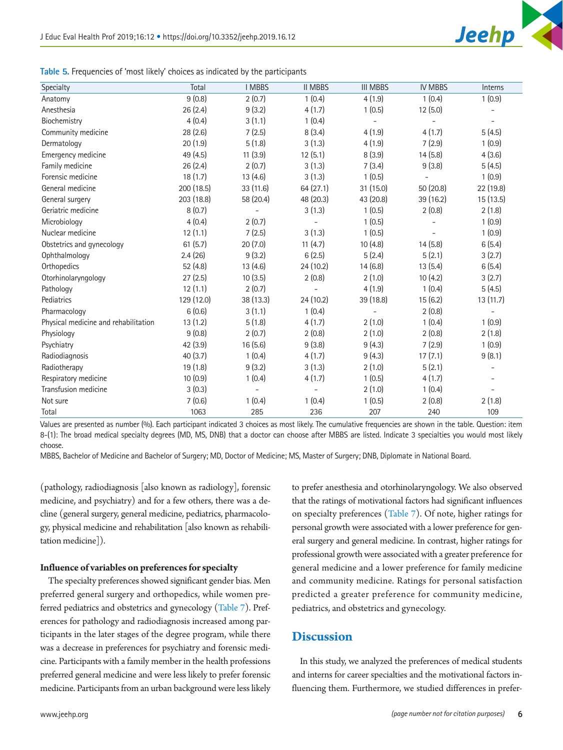

<span id="page-5-0"></span>

| Table 5. Frequencies of 'most likely' choices as indicated by the participants |  |  |  |
|--------------------------------------------------------------------------------|--|--|--|
|                                                                                |  |  |  |

| Specialty                            | Total      | <b>I MBBS</b> | <b>II MBBS</b> | <b>III MBBS</b> | <b>IV MBBS</b> | Interns                  |
|--------------------------------------|------------|---------------|----------------|-----------------|----------------|--------------------------|
| Anatomy                              | 9(0.8)     | 2(0.7)        | 1(0.4)         | 4(1.9)          | 1(0.4)         | 1(0.9)                   |
| Anesthesia                           | 26(2.4)    | 9(3.2)        | 4(1.7)         | 1(0.5)          | 12(5.0)        |                          |
| Biochemistry                         | 4(0.4)     | 3(1.1)        | 1(0.4)         | $\bar{a}$       |                |                          |
| Community medicine                   | 28(2.6)    | 7(2.5)        | 8(3.4)         | 4(1.9)          | 4(1.7)         | 5(4.5)                   |
| Dermatology                          | 20(1.9)    | 5(1.8)        | 3(1.3)         | 4(1.9)          | 7(2.9)         | 1(0.9)                   |
| Emergency medicine                   | 49 (4.5)   | 11(3.9)       | 12(5.1)        | 8(3.9)          | 14(5.8)        | 4(3.6)                   |
| Family medicine                      | 26(2.4)    | 2(0.7)        | 3(1.3)         | 7(3.4)          | 9(3.8)         | 5(4.5)                   |
| Forensic medicine                    | 18(1.7)    | 13(4.6)       | 3(1.3)         | 1(0.5)          |                | 1(0.9)                   |
| General medicine                     | 200 (18.5) | 33 (11.6)     | 64(27.1)       | 31 (15.0)       | 50(20.8)       | 22 (19.8)                |
| General surgery                      | 203 (18.8) | 58 (20.4)     | 48 (20.3)      | 43 (20.8)       | 39 (16.2)      | 15 (13.5)                |
| Geriatric medicine                   | 8(0.7)     |               | 3(1.3)         | 1(0.5)          | 2(0.8)         | 2(1.8)                   |
| Microbiology                         | 4(0.4)     | 2(0.7)        |                | 1(0.5)          |                | 1(0.9)                   |
| Nuclear medicine                     | 12(1.1)    | 7(2.5)        | 3(1.3)         | 1(0.5)          |                | 1(0.9)                   |
| Obstetrics and gynecology            | 61(5.7)    | 20(7.0)       | 11(4.7)        | 10(4.8)         | 14(5.8)        | 6(5.4)                   |
| Ophthalmology                        | 2.4(26)    | 9(3.2)        | 6(2.5)         | 5(2.4)          | 5(2.1)         | 3(2.7)                   |
| Orthopedics                          | 52 (4.8)   | 13(4.6)       | 24 (10.2)      | 14(6.8)         | 13(5.4)        | 6(5.4)                   |
| Otorhinolaryngology                  | 27(2.5)    | 10(3.5)       | 2(0.8)         | 2(1.0)          | 10(4.2)        | 3(2.7)                   |
| Pathology                            | 12(1.1)    | 2(0.7)        |                | 4(1.9)          | 1(0.4)         | 5(4.5)                   |
| Pediatrics                           | 129 (12.0) | 38 (13.3)     | 24 (10.2)      | 39 (18.8)       | 15(6.2)        | 13 (11.7)                |
| Pharmacology                         | 6(0.6)     | 3(1.1)        | 1(0.4)         |                 | 2(0.8)         |                          |
| Physical medicine and rehabilitation | 13(1.2)    | 5(1.8)        | 4(1.7)         | 2(1.0)          | 1(0.4)         | 1(0.9)                   |
| Physiology                           | 9(0.8)     | 2(0.7)        | 2(0.8)         | 2(1.0)          | 2(0.8)         | 2(1.8)                   |
| Psychiatry                           | 42(3.9)    | 16(5.6)       | 9(3.8)         | 9(4.3)          | 7(2.9)         | 1(0.9)                   |
| Radiodiagnosis                       | 40(3.7)    | 1(0.4)        | 4(1.7)         | 9(4.3)          | 17(7.1)        | 9(8.1)                   |
| Radiotherapy                         | 19(1.8)    | 9(3.2)        | 3(1.3)         | 2(1.0)          | 5(2.1)         | $\overline{\phantom{a}}$ |
| Respiratory medicine                 | 10(0.9)    | 1(0.4)        | 4(1.7)         | 1(0.5)          | 4(1.7)         |                          |
| Transfusion medicine                 | 3(0.3)     |               |                | 2(1.0)          | 1(0.4)         |                          |
| Not sure                             | 7(0.6)     | 1(0.4)        | 1(0.4)         | 1(0.5)          | 2(0.8)         | 2(1.8)                   |
| Total                                | 1063       | 285           | 236            | 207             | 240            | 109                      |

Values are presented as number (%). Each participant indicated 3 choices as most likely. The cumulative frequencies are shown in the table. Question: item 8-(1): The broad medical specialty degrees (MD, MS, DNB) that a doctor can choose after MBBS are listed. Indicate 3 specialties you would most likely choose.

MBBS, Bachelor of Medicine and Bachelor of Surgery; MD, Doctor of Medicine; MS, Master of Surgery; DNB, Diplomate in National Board.

(pathology, radiodiagnosis [also known as radiology], forensic medicine, and psychiatry) and for a few others, there was a decline (general surgery, general medicine, pediatrics, pharmacology, physical medicine and rehabilitation [also known as rehabilitation medicine]).

## **Influence of variables on preferences for specialty**

The specialty preferences showed significant gender bias. Men preferred general surgery and orthopedics, while women preferred pediatrics and obstetrics and gynecology [\(Table 7](#page-7-0)). Preferences for pathology and radiodiagnosis increased among participants in the later stages of the degree program, while there was a decrease in preferences for psychiatry and forensic medicine. Participants with a family member in the health professions preferred general medicine and were less likely to prefer forensic medicine. Participants from an urban background were less likely to prefer anesthesia and otorhinolaryngology. We also observed that the ratings of motivational factors had significant influences on specialty preferences [\(Table 7\)](#page-7-0). Of note, higher ratings for personal growth were associated with a lower preference for general surgery and general medicine. In contrast, higher ratings for professional growth were associated with a greater preference for general medicine and a lower preference for family medicine and community medicine. Ratings for personal satisfaction predicted a greater preference for community medicine, pediatrics, and obstetrics and gynecology.

## **Discussion**

In this study, we analyzed the preferences of medical students and interns for career specialties and the motivational factors influencing them. Furthermore, we studied differences in prefer-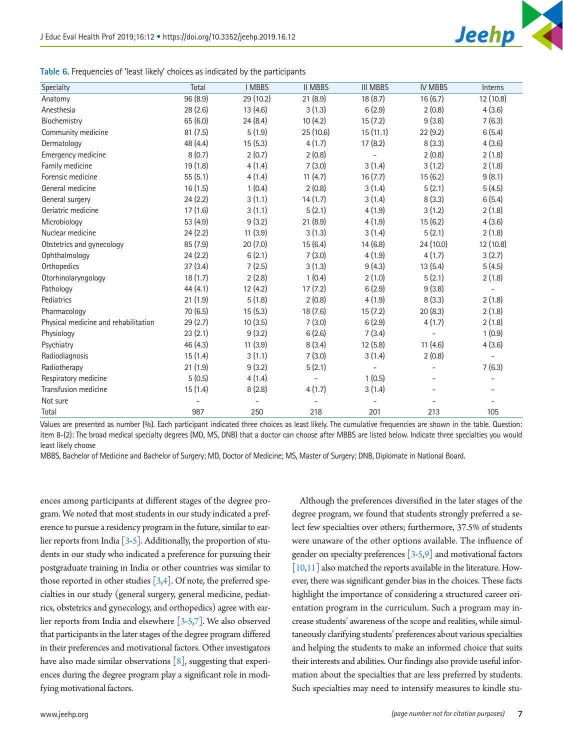

<span id="page-6-0"></span>

| Table 6. Frequencies of 'least likely' choices as indicated by the participants |  |  |  |  |  |
|---------------------------------------------------------------------------------|--|--|--|--|--|
|                                                                                 |  |  |  |  |  |

| Specialty                            | Total    | <b>I MBBS</b> | <b>II MBBS</b> | <b>III MBBS</b>          | <b>IV MBBS</b> | Interns   |
|--------------------------------------|----------|---------------|----------------|--------------------------|----------------|-----------|
| Anatomy                              | 96 (8.9) | 29 (10.2)     | 21(8.9)        | 18(8.7)                  | 16(6.7)        | 12 (10.8) |
| Anesthesia                           | 28(2.6)  | 13(4.6)       | 3(1.3)         | 6(2.9)                   | 2(0.8)         | 4(3.6)    |
| Biochemistry                         | 65 (6.0) | 24(8.4)       | 10(4.2)        | 15(7.2)                  | 9(3.8)         | 7(6.3)    |
| Community medicine                   | 81(7.5)  | 5(1.9)        | 25 (10.6)      | 15(11.1)                 | 22(9.2)        | 6(5.4)    |
| Dermatology                          | 48 (4.4) | 15(5.3)       | 4(1.7)         | 17(8.2)                  | 8(3.3)         | 4(3.6)    |
| Emergency medicine                   | 8(0.7)   | 2(0.7)        | 2(0.8)         |                          | 2(0.8)         | 2(1.8)    |
| Family medicine                      | 19 (1.8) | 4(1.4)        | 7(3.0)         | 3(1.4)                   | 3(1.2)         | 2(1.8)    |
| Forensic medicine                    | 55(5.1)  | 4(1.4)        | 11(4.7)        | 16(7.7)                  | 15(6.2)        | 9(8.1)    |
| General medicine                     | 16(1.5)  | 1(0.4)        | 2(0.8)         | 3(1.4)                   | 5(2.1)         | 5(4.5)    |
| General surgery                      | 24(2.2)  | 3(1.1)        | 14(1.7)        | 3(1.4)                   | 8(3.3)         | 6(5.4)    |
| Geriatric medicine                   | 17(1.6)  | 3(1.1)        | 5(2.1)         | 4(1.9)                   | 3(1.2)         | 2(1.8)    |
| Microbiology                         | 53 (4.9) | 9(3.2)        | 21(8.9)        | 4(1.9)                   | 15(6.2)        | 4(3.6)    |
| Nuclear medicine                     | 24(2.2)  | 11(3.9)       | 3(1.3)         | 3(1.4)                   | 5(2.1)         | 2(1.8)    |
| Obstetrics and gynecology            | 85 (7.9) | 20(7.0)       | 15(6.4)        | 14(6.8)                  | 24 (10.0)      | 12 (10.8) |
| Ophthalmology                        | 24(2.2)  | 6(2.1)        | 7(3.0)         | 4(1.9)                   | 4(1.7)         | 3(2.7)    |
| Orthopedics                          | 37(3.4)  | 7(2.5)        | 3(1.3)         | 9(4.3)                   | 13(5.4)        | 5(4.5)    |
| Otorhinolaryngology                  | 18(1.7)  | 2(2.8)        | 1(0.4)         | 2(1.0)                   | 5(2.1)         | 2(1.8)    |
| Pathology                            | 44(4.1)  | 12(4.2)       | 17(7.2)        | 6(2.9)                   | 9(3.8)         |           |
| Pediatrics                           | 21(1.9)  | 5(1.8)        | 2(0.8)         | 4(1.9)                   | 8(3.3)         | 2(1.8)    |
| Pharmacology                         | 70 (6.5) | 15(5.3)       | 18 (7.6)       | 15(7.2)                  | 20(8.3)        | 2(1.8)    |
| Physical medicine and rehabilitation | 29(2.7)  | 10(3.5)       | 7(3.0)         | 6(2.9)                   | 4(1.7)         | 2(1.8)    |
| Physiology                           | 23(2.1)  | 9(3.2)        | 6(2.6)         | 7(3.4)                   |                | 1(0.9)    |
| Psychiatry                           | 46 (4.3) | 11(3.9)       | 8(3.4)         | 12(5.8)                  | 11(4.6)        | 4(3.6)    |
| Radiodiagnosis                       | 15(1.4)  | 3(1.1)        | 7(3.0)         | 3(1.4)                   | 2(0.8)         |           |
| Radiotherapy                         | 21(1.9)  | 9(3.2)        | 5(2.1)         | $\overline{\phantom{0}}$ |                | 7(6.3)    |
| Respiratory medicine                 | 5(0.5)   | 4(1.4)        |                | 1(0.5)                   |                |           |
| Transfusion medicine                 | 15(1.4)  | 8(2.8)        | 4(1.7)         | 3(1.4)                   |                |           |
| Not sure                             |          |               |                |                          |                |           |
| Total                                | 987      | 250           | 218            | 201                      | 213            | 105       |

Values are presented as number (%). Each participant indicated three choices as least likely. The cumulative frequencies are shown in the table. Question: item 8-(2): The broad medical specialty degrees (MD, MS, DNB) that a doctor can choose after MBBS are listed below. Indicate three specialties you would least likely choose

MBBS, Bachelor of Medicine and Bachelor of Surgery; MD, Doctor of Medicine; MS, Master of Surgery; DNB, Diplomate in National Board.

ences among participants at different stages of the degree program. We noted that most students in our study indicated a preference to pursue a residency program in the future, similar to earlier reports from India  $[3-5]$  $[3-5]$ . Additionally, the proportion of students in our study who indicated a preference for pursuing their postgraduate training in India or other countries was similar to those reported in other studies  $[3,4]$  $[3,4]$  $[3,4]$ . Of note, the preferred specialties in our study (general surgery, general medicine, pediatrics, obstetrics and gynecology, and orthopedics) agree with earlier reports from India and elsewhere [\[3](#page-9-2)[-5](#page-9-4)[,7](#page-9-7)]. We also observed that participants in the later stages of the degree program differed in their preferences and motivational factors. Other investigators have also made similar observations [\[8\]](#page-9-8), suggesting that experiences during the degree program play a significant role in modifying motivational factors.

Although the preferences diversified in the later stages of the degree program, we found that students strongly preferred a select few specialties over others; furthermore, 37.5% of students were unaware of the other options available. The influence of gender on specialty preferences [[3](#page-9-2)[-5](#page-9-4)[,9](#page-9-9)] and motivational factors [\[10,](#page-9-10)[11](#page-9-11)] also matched the reports available in the literature. However, there was significant gender bias in the choices. These facts highlight the importance of considering a structured career orientation program in the curriculum. Such a program may increase students' awareness of the scope and realities, while simultaneously clarifying students' preferences about various specialties and helping the students to make an informed choice that suits their interests and abilities. Our findings also provide useful information about the specialties that are less preferred by students. Such specialties may need to intensify measures to kindle stu-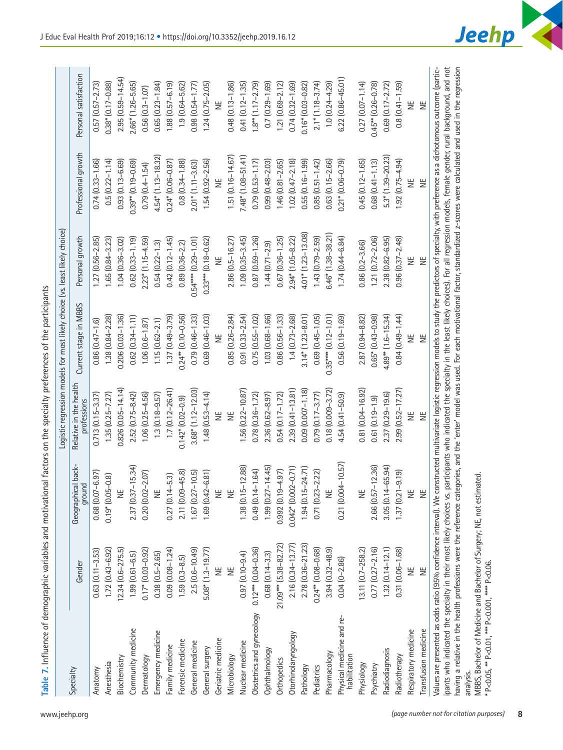<span id="page-7-0"></span>

|   | Ï<br>j                               |
|---|--------------------------------------|
|   |                                      |
|   |                                      |
|   |                                      |
|   |                                      |
|   |                                      |
|   |                                      |
|   |                                      |
|   | $2 + + - 2$<br>うりり                   |
|   |                                      |
|   |                                      |
|   |                                      |
|   |                                      |
|   |                                      |
|   |                                      |
|   |                                      |
|   | ia dia 1217.1<br>                    |
|   |                                      |
|   |                                      |
|   |                                      |
|   |                                      |
|   |                                      |
|   |                                      |
|   |                                      |
|   |                                      |
|   | <br> <br> <br> <br>                  |
|   | i<br>Sun<br>C<br>)<br>2)<br>2)<br>2) |
|   |                                      |
|   |                                      |
|   |                                      |
|   |                                      |
|   |                                      |
|   | $\frac{1}{2}$<br>]<br>]              |
|   | $\vdots$                             |
|   |                                      |
|   |                                      |
|   |                                      |
|   |                                      |
|   |                                      |
|   |                                      |
|   | d motivation;                        |
|   |                                      |
|   |                                      |
|   | ں<br>Sallu<br>s<br>S<br>S<br>S       |
|   |                                      |
|   |                                      |
|   |                                      |
|   |                                      |
|   |                                      |
|   |                                      |
|   |                                      |
|   | s<br>C                               |
|   |                                      |
|   | ١                                    |
|   |                                      |
|   |                                      |
|   |                                      |
|   | $\frac{1}{2}$                        |
|   |                                      |
|   |                                      |
|   | $25.0000 + 25.00$                    |
|   |                                      |
|   |                                      |
|   |                                      |
|   |                                      |
| i |                                      |
|   |                                      |
|   | 7. Influer                           |

|                                                                                                                                                                                                                                                                                                                                                                                                                                                                                                                                                                                                                                         |                         |                              |                                       | Logistic regression models for most likely choice (vs. least likely choice)                                                                |                           |                                      |                                      |
|-----------------------------------------------------------------------------------------------------------------------------------------------------------------------------------------------------------------------------------------------------------------------------------------------------------------------------------------------------------------------------------------------------------------------------------------------------------------------------------------------------------------------------------------------------------------------------------------------------------------------------------------|-------------------------|------------------------------|---------------------------------------|--------------------------------------------------------------------------------------------------------------------------------------------|---------------------------|--------------------------------------|--------------------------------------|
| Specialty                                                                                                                                                                                                                                                                                                                                                                                                                                                                                                                                                                                                                               | Gender                  | Geographical back-<br>ground | Relative in the health<br>professions | Current stage in MBBS                                                                                                                      | Personal growth           | Professional growth                  | Personal satisfaction                |
| Anatomy                                                                                                                                                                                                                                                                                                                                                                                                                                                                                                                                                                                                                                 | $0.63(0.11 - 3.53)$     | $0.68(0.07 - 6.97)$          | $0.713(0.15 - 3.37)$                  | $0.86(0.47 - 1.6)$                                                                                                                         | 1.27 (0.56-2.85)          | $0.74(0.33 - 1.66)$                  | $0.57(0.57 - 2.73)$                  |
| Anesthesia                                                                                                                                                                                                                                                                                                                                                                                                                                                                                                                                                                                                                              | $1.72(0.43 - 6.92)$     | $-0.8$<br>$0.19*0.05$        | $1.35(0.25 - 7.27)$                   | 1.38 (0.84-2.28)                                                                                                                           | $1.65(0.84 - 3.23)$       | $0.5(0.22 - 1.14)$                   | $0.38*(0.17-0.88)$                   |
| Biochemistry                                                                                                                                                                                                                                                                                                                                                                                                                                                                                                                                                                                                                            | $12.34(0.6 - 275.5)$    | ă                            | 0.826 (0.05-14.14)                    | 0.206 (0.03-1.36)                                                                                                                          | 1.04 (0.36-3.02)          | $0.93(0.13 - 6.69)$                  | $2.95(0.59 - 14.54)$                 |
| Community medicine                                                                                                                                                                                                                                                                                                                                                                                                                                                                                                                                                                                                                      | $1.99(0.61 - 6.5)$      | $-15.34$<br>2.37 (0.37)      | $2.52(0.75 - 8.42)$                   | $0.62(0.34 - 1.11)$                                                                                                                        | $0.62(0.33 - 1.19)$       | $0.39$ <sup>**</sup> $(0.19 - 0.69)$ | $2.66*$ (1.26-5.65)                  |
| Dermatology                                                                                                                                                                                                                                                                                                                                                                                                                                                                                                                                                                                                                             | $0.17$ $(0.03 - 0.92)$  | $-2.07$<br>0.20 (0.02        | $1.06(0.25 - 4.56)$                   | $1.06(0.6 - 1.87)$                                                                                                                         | $2.23*(1.15-4.59)$        | $0.79(0.4 - 1.54)$                   | $0.56(0.3 - 1.07)$                   |
| Emergency medicine                                                                                                                                                                                                                                                                                                                                                                                                                                                                                                                                                                                                                      | $0.38(0.5 - 2.65)$      | ă                            | $1.3(0.18 - 9.57)$                    | $1.15(0.62 - 2.1)$                                                                                                                         | $0.54(0.22 - 1.3)$        | $4.54*$ $(1.13-18.32)$               | $0.65(0.23 - 1.84)$                  |
| Family medicine                                                                                                                                                                                                                                                                                                                                                                                                                                                                                                                                                                                                                         | $0.09(0.08 - 1.24)$     | $0.27(0.14 - 5.3)$           | $1.7(0.12 - 26.41)$                   | 1.37 (0.49-3.79)                                                                                                                           | $0.42(0.12 - 1.45)$       | $0.24*(0.06 - 0.87)$                 | $1.88(0.57 - 6.19)$                  |
| Forensic medicine                                                                                                                                                                                                                                                                                                                                                                                                                                                                                                                                                                                                                       | $1.59(0.3 - 8.5)$       | $-45.8$<br>2.11 (0.09        | $0.142*(0.02 - 0.9)$                  | $0.24$ <sup>**</sup> $(0.10 - 0.56)$                                                                                                       | $0.89(0.36 - 2.2)$        | $0.8(0.34 - 1.88)$                   | $1.9(0.64 - 5.62)$                   |
| General medicine                                                                                                                                                                                                                                                                                                                                                                                                                                                                                                                                                                                                                        | 2.5 (0.6-10.49)         | $-10.5$<br>1.67 (0.27        | $3.68$ $(1.12 - 12.03)$               | $0.79(0.46 - 1.33)$                                                                                                                        | $0.54***$ $(0.29-1.01)$   | $2.01*$ $(1.11-3.63)$                | $0.98(0.54 - 1.77)$                  |
| General surgery                                                                                                                                                                                                                                                                                                                                                                                                                                                                                                                                                                                                                         | $5.08*(1.3-19.77)$      | $-6.81$<br>1.69 (0.42        | $1.48(0.53 - 4.14)$                   | $0.69(0.46 - 1.03)$                                                                                                                        | $0.33***$ $(0.18 - 0.62)$ | $1.54(0.92 - 2.56)$                  | $1.24(0.75 - 2.05)$                  |
| Geriatric medicine                                                                                                                                                                                                                                                                                                                                                                                                                                                                                                                                                                                                                      | ž                       | ž                            | Ψ                                     | 岂                                                                                                                                          | Ψ                         | 쁮                                    | y                                    |
| Microbiology                                                                                                                                                                                                                                                                                                                                                                                                                                                                                                                                                                                                                            | 岂                       | ă                            | 岂                                     | $0.85(0.26 - 2.84)$                                                                                                                        | 2.86 (0.5-16.27)          | $1.51(0.16 - 14.67)$                 | $0.48(0.13 - 1.86)$                  |
| Nuclear medicine                                                                                                                                                                                                                                                                                                                                                                                                                                                                                                                                                                                                                        | $0.97(0.10 - 9.4)$      | $1.38(0.15 - 12.88)$         | $1.56(0.22 - 10.87)$                  | $0.91(0.33 - 2.54)$                                                                                                                        | $1.09(0.35 - 3.45)$       | $7.48$ $(1.08 - 51.41)$              | $0.41(0.12 - 1.35)$                  |
| Obstetrics and gynecology                                                                                                                                                                                                                                                                                                                                                                                                                                                                                                                                                                                                               | $0.12***$ $(0.04-0.36)$ | $0.49(0.14 - 1.64)$          | $0.78(0.36 - 1.72)$                   | $0.75(0.55 - 1.02)$                                                                                                                        | $0.87(0.59 - 1.26)$       | $0.79(0.53 - 1.17)$                  | $1.8$ <sup>**</sup> $(1.17 - 2.79)$  |
| Ophthalmology                                                                                                                                                                                                                                                                                                                                                                                                                                                                                                                                                                                                                           | $0.68(0.14-3.3)$        | $1.99(0.27 - 14.45)$         | $2.36(0.62 - 8.97)$                   | 1.03 (0.68-1.66)                                                                                                                           | $1.44(0.71-2.9)$          | $0.99(0.48 - 2.03)$                  | $0.7(0.29 - 1.69)$                   |
| Orthopedics                                                                                                                                                                                                                                                                                                                                                                                                                                                                                                                                                                                                                             | 21.09 *** (5.38-82.72)  | $0.992(0.19 - 4.97)$         | $0.54(0.17 - 1.72)$                   | $0.86(0.56 - 1.33)$                                                                                                                        | $0.67(0.36 - 1.25)$       | $1.46(0.81 - 2.65)$                  | $1.21(0.69 - 2.12)$                  |
| Otorhinolaryngology                                                                                                                                                                                                                                                                                                                                                                                                                                                                                                                                                                                                                     | 2.16 (0.34-13.77)       | $0.042*$ $(0.002-0.71)$      | $2.39(0.41 - 13.81)$                  | $1.4(0.73 - 2.68)$                                                                                                                         | 2.94* (1.05-8.22)         | $1.02(0.47 - 2.18)$                  | $0.74(0.32 - 1.69)$                  |
| Pathology                                                                                                                                                                                                                                                                                                                                                                                                                                                                                                                                                                                                                               | 2.78 (0.36-21.23)       | $1.94(0.15 - 24.71)$         | $0.09(0.007 - 1.18)$                  | $3.14*(1.23 - 8.01)$                                                                                                                       | $4.01*$ $(1.23-13.08)$    | $0.55(0.16 - 1.99)$                  | $0.16*(0.03 - 0.82)$                 |
| Pediatrics                                                                                                                                                                                                                                                                                                                                                                                                                                                                                                                                                                                                                              | $0.24$ $(0.08 - 0.68)$  | $0.71(0.23 - 2.22)$          | $0.79(0.17 - 3.77)$                   | $0.69(0.45 - 1.05)$                                                                                                                        | $1.43(0.79 - 2.59)$       | $0.85(0.51 - 1.42)$                  | $2.1$ * $(1.18 - 3.74)$              |
| Pharmacology                                                                                                                                                                                                                                                                                                                                                                                                                                                                                                                                                                                                                            | $3.94(0.32 - 48.9)$     | Ξ                            | $0.18(0.009 - 3.72)$                  | $0.35***$ (0.12-1.01)                                                                                                                      | $6.46$ (1.38-38.21)       | $0.63$ $(0.15 - 2.66)$               | $1.0(0.24 - 4.29)$                   |
| Physical medicine and re-<br>habilitation                                                                                                                                                                                                                                                                                                                                                                                                                                                                                                                                                                                               | $0.04(0 - 2.86)$        | 0.21 (0.004-10.57)           | 4.54 (0.41-50.9)                      | $0.56(0.19 - 1.69)$                                                                                                                        | $1.74(0.44 - 6.84)$       | $0.21*$ (0.06-0.79)                  | $6.22(0.86 - 45.01)$                 |
| Physiology                                                                                                                                                                                                                                                                                                                                                                                                                                                                                                                                                                                                                              | 13.11 (0.7-258.2)       | 岂                            | 0.81 (0.04-16.92)                     | 2.87 (0.94-8.82)                                                                                                                           | $0.86(0.2 - 3.66)$        | $0.45(0.12 - 1.65)$                  | $0.27$ $(0.07 - 1.14)$               |
| Psychiatry                                                                                                                                                                                                                                                                                                                                                                                                                                                                                                                                                                                                                              | $0.77$ $(0.27 - 2.16)$  | $-12.36$<br>2.66 (0.57       | $0.61(0.19 - 1.9)$                    | $0.65*(0.43 - 0.98)$                                                                                                                       | 1.21 (0.72-2.06)          | $0.68$ $(0.41 - 1.13)$               | $0.45$ <sup>**</sup> $(0.26 - 0.78)$ |
| Radiodiagnosis                                                                                                                                                                                                                                                                                                                                                                                                                                                                                                                                                                                                                          | $1.32(0.14 - 12.1)$     | $-65.94$<br>3.05(0.14)       | 2.37 $(0.29 - 19.6)$                  | $4.89'''$ $(1.6 - 15.34)$                                                                                                                  | 2.38 (0.82-6.95)          | $5.3*$ (1.39-20.23)                  | $0.69(0.17 - 2.72)$                  |
| Radiotherapy                                                                                                                                                                                                                                                                                                                                                                                                                                                                                                                                                                                                                            | 0.31 (0.06-1.68)        | $-9.19$<br>1.37 (0.21        | 2.99 (0.52-17.27)                     | $0.84(0.49 - 1.44)$                                                                                                                        | $0.96(0.37 - 2.48)$       | $1.92(0.75 - 4.94)$                  | $0.8(0.41 - 1.59)$                   |
| Respiratory medicine                                                                                                                                                                                                                                                                                                                                                                                                                                                                                                                                                                                                                    | 岂                       | 岂                            | 岂                                     | У                                                                                                                                          | 岂                         | 岂                                    | 쁮                                    |
| Transfusion medicine                                                                                                                                                                                                                                                                                                                                                                                                                                                                                                                                                                                                                    | 岂                       | 岂                            | 岂                                     | 岂                                                                                                                                          | 岂                         | $\overline{z}$                       | 岂                                    |
| having a relative in the health professions were the reference categories, and the 'enter' model was used. For each motivational factor, standardized z-scores were calculated and used in the regression<br>Values are presented as odds ratio (95% confidence interval). We constructed multivariate logistic regression models to study the predictors of specialty, with preference as a dichotomous outcome (partic-<br>MBBS, Bachelor of Medicine and Bachelor of Surgery; NE, not estimated<br>pants who indicated the specialty in their most likely choices vs.<br>* P<0.05, ** P<0.01, *** P<0.001, **** P<0.06.<br>analysis. |                         |                              |                                       | participants who indicated the specialty in the least likely choices). For all regression models, female gender, rural background, and not |                           |                                      |                                      |
|                                                                                                                                                                                                                                                                                                                                                                                                                                                                                                                                                                                                                                         |                         |                              |                                       |                                                                                                                                            |                           |                                      |                                      |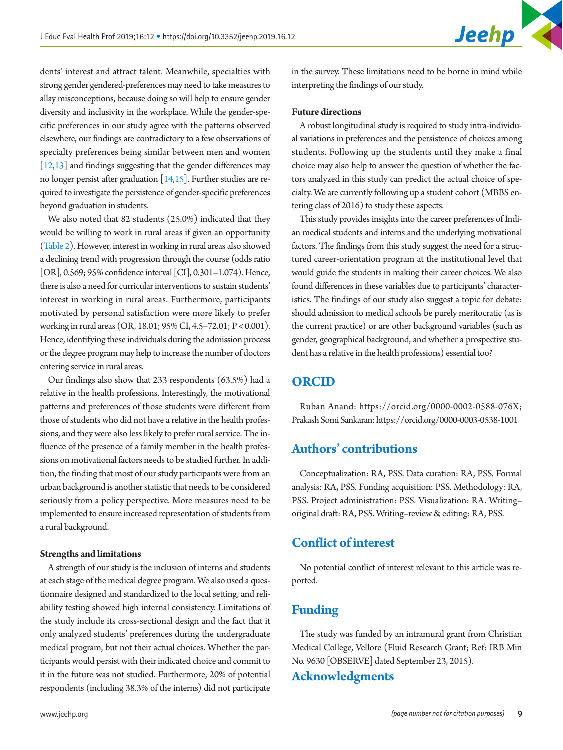**Jeehp** 

dents' interest and attract talent. Meanwhile, specialties with strong gender gendered-preferences may need to take measures to allay misconceptions, because doing so will help to ensure gender diversity and inclusivity in the workplace. While the gender-specific preferences in our study agree with the patterns observed elsewhere, our findings are contradictory to a few observations of specialty preferences being similar between men and women [\[12](#page-9-12)[,13\]](#page-9-13) and findings suggesting that the gender differences may no longer persist after graduation [[14](#page-9-14)[,15\]](#page-9-15). Further studies are required to investigate the persistence of gender-specific preferences beyond graduation in students.

We also noted that 82 students (25.0%) indicated that they would be willing to work in rural areas if given an opportunity [\(Table 2\)](#page-3-1). However, interest in working in rural areas also showed a declining trend with progression through the course (odds ratio [OR], 0.569; 95% confidence interval [CI], 0.301–1.074). Hence, there is also a need for curricular interventions to sustain students' interest in working in rural areas. Furthermore, participants motivated by personal satisfaction were more likely to prefer working in rural areas (OR, 18.01; 95% CI, 4.5–72.01; P < 0.001). Hence, identifying these individuals during the admission process or the degree program may help to increase the number of doctors entering service in rural areas.

Our findings also show that 233 respondents (63.5%) had a relative in the health professions. Interestingly, the motivational patterns and preferences of those students were different from those of students who did not have a relative in the health professions, and they were also less likely to prefer rural service. The influence of the presence of a family member in the health professions on motivational factors needs to be studied further. In addition, the finding that most of our study participants were from an urban background is another statistic that needs to be considered seriously from a policy perspective. More measures need to be implemented to ensure increased representation of students from a rural background.

#### **Strengths and limitations**

A strength of our study is the inclusion of interns and students at each stage of the medical degree program. We also used a questionnaire designed and standardized to the local setting, and reliability testing showed high internal consistency. Limitations of the study include its cross-sectional design and the fact that it only analyzed students' preferences during the undergraduate medical program, but not their actual choices. Whether the participants would persist with their indicated choice and commit to it in the future was not studied. Furthermore, 20% of potential respondents (including 38.3% of the interns) did not participate

in the survey. These limitations need to be borne in mind while interpreting the findings of our study.

#### **Future directions**

A robust longitudinal study is required to study intra-individual variations in preferences and the persistence of choices among students. Following up the students until they make a final choice may also help to answer the question of whether the factors analyzed in this study can predict the actual choice of specialty. We are currently following up a student cohort (MBBS entering class of 2016) to study these aspects.

This study provides insights into the career preferences of Indian medical students and interns and the underlying motivational factors. The findings from this study suggest the need for a structured career-orientation program at the institutional level that would guide the students in making their career choices. We also found differences in these variables due to participants' characteristics. The findings of our study also suggest a topic for debate: should admission to medical schools be purely meritocratic (as is the current practice) or are other background variables (such as gender, geographical background, and whether a prospective student has a relative in the health professions) essential too?

## **ORCID**

Ruban Anand: [https://orcid.org/0000-0002-0588-076X;](https://orcid.org/0000-0002-0588-076X) Prakash Somi Sankaran:<https://orcid.org/0000-0003-0538-1001>

## **Authors' contributions**

Conceptualization: RA, PSS. Data curation: RA, PSS. Formal analysis: RA, PSS. Funding acquisition: PSS. Methodology: RA, PSS. Project administration: PSS. Visualization: RA. Writing– original draft: RA, PSS. Writing–review & editing: RA, PSS.

## **Conflict of interest**

No potential conflict of interest relevant to this article was reported.

## **Funding**

The study was funded by an intramural grant from Christian Medical College, Vellore (Fluid Research Grant; Ref: IRB Min No. 9630 [OBSERVE] dated September 23, 2015).

## **Acknowledgments**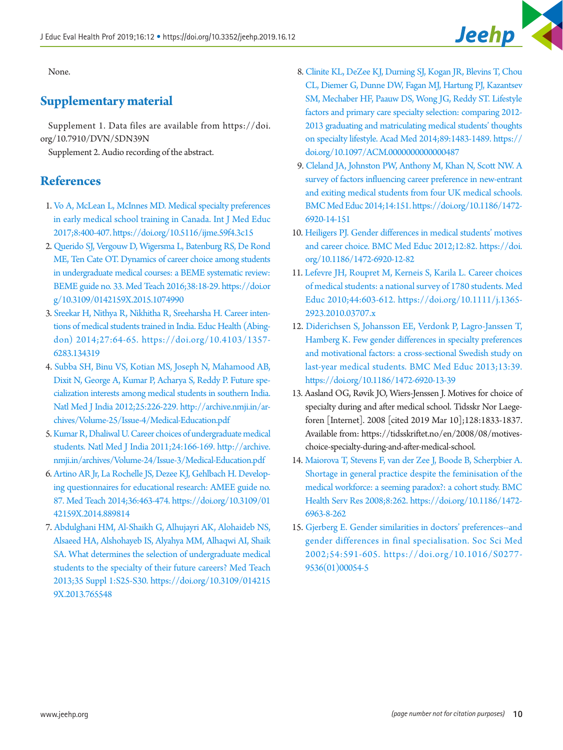None.

## <span id="page-9-6"></span>**Supplementary material**

Supplement 1. Data files are available from https://doi. org/10.7910/DVN/5DN39N

Supplement 2. Audio recording of the abstract.

## **References**

- <span id="page-9-0"></span>1. [Vo A, McLean L, McInnes MD. Medical specialty preferences](https://doi.org/10.5116/ijme.59f4.3c15)  [in early medical school training in Canada. Int J Med Educ](https://doi.org/10.5116/ijme.59f4.3c15) [2017;8:400-407. https://doi.org/10.5116/ijme.59f4.3c15](https://doi.org/10.5116/ijme.59f4.3c15)
- <span id="page-9-1"></span>2. [Querido SJ, Vergouw D, Wigersma L, Batenburg RS, De Rond](https://doi.org/10.3109/0142159X.2015.1074990)  [ME, Ten Cate OT. Dynamics of career choice among students](https://doi.org/10.3109/0142159X.2015.1074990)  [in undergraduate medical courses: a BEME systematic review:](https://doi.org/10.3109/0142159X.2015.1074990)  [BEME guide no. 33. Med Teach 2016;38:18-29. https://doi.or](https://doi.org/10.3109/0142159X.2015.1074990) [g/10.3109/0142159X.2015.1074990](https://doi.org/10.3109/0142159X.2015.1074990)
- <span id="page-9-2"></span>3. [Sreekar H, Nithya R, Nikhitha R, Sreeharsha H. Career inten](https://doi.org/10.4103/1357-6283.134319)[tions of medical students trained in India. Educ Health \(Abing](https://doi.org/10.4103/1357-6283.134319)[don\) 2014;27:64-65. https://doi.org/10.4103/1357-](https://doi.org/10.4103/1357-6283.134319) [6283.134319](https://doi.org/10.4103/1357-6283.134319)
- <span id="page-9-3"></span>4. [Subba SH, Binu VS, Kotian MS, Joseph N, Mahamood AB,](http://www.ncbi.nlm.nih.gov/pubmed/23278783)  [Dixit N, George A, Kumar P, Acharya S, Reddy P. Future spe](http://www.ncbi.nlm.nih.gov/pubmed/23278783)[cialization interests among medical students in southern India.](http://www.ncbi.nlm.nih.gov/pubmed/23278783) [Natl Med J India 2012;25:226-229. http://archive.nmji.in/ar](http://www.ncbi.nlm.nih.gov/pubmed/23278783)[chives/Volume-25/Issue-4/Medical-Education.pdf](http://www.ncbi.nlm.nih.gov/pubmed/23278783)
- <span id="page-9-4"></span>5. [Kumar R, Dhaliwal U. Career choices of undergraduate medical](http://www.ncbi.nlm.nih.gov/pubmed/21786849) [students. Natl Med J India 2011;24:166-169. http://archive.](http://www.ncbi.nlm.nih.gov/pubmed/21786849) [nmji.in/archives/Volume-24/Issue-3/Medical-Education.pdf](http://www.ncbi.nlm.nih.gov/pubmed/21786849)
- <span id="page-9-5"></span>6. [Artino AR Jr, La Rochelle JS, Dezee KJ, Gehlbach H. Develop](https://doi.org/10.3109/0142159X.2014.889814)[ing questionnaires for educational research: AMEE guide no.](https://doi.org/10.3109/0142159X.2014.889814) [87. Med Teach 2014;36:463-474. https://doi.org/10.3109/01](https://doi.org/10.3109/0142159X.2014.889814) [42159X.2014.889814](https://doi.org/10.3109/0142159X.2014.889814)
- <span id="page-9-7"></span>7. [Abdulghani HM, Al-Shaikh G, Alhujayri AK, Alohaideb NS,](https://doi.org/10.3109/0142159X.2013.765548) [Alsaeed HA, Alshohayeb IS, Alyahya MM, Alhaqwi AI, Shaik](https://doi.org/10.3109/0142159X.2013.765548) [SA. What determines the selection of undergraduate medical](https://doi.org/10.3109/0142159X.2013.765548)  [students to the specialty of their future careers? Med Teach](https://doi.org/10.3109/0142159X.2013.765548) [2013;35 Suppl 1:S25-S30. https://doi.org/10.3109/014215](https://doi.org/10.3109/0142159X.2013.765548) [9X.2013.765548](https://doi.org/10.3109/0142159X.2013.765548)
- <span id="page-9-8"></span>8. [Clinite KL, DeZee KJ, Durning SJ, Kogan JR, Blevins T, Chou](https://doi.org/10.1097/ACM.0000000000000487)  [CL, Diemer G, Dunne DW, Fagan MJ, Hartung PJ, Kazantsev](https://doi.org/10.1097/ACM.0000000000000487)  [SM, Mechaber HF, Paauw DS, Wong JG, Reddy ST. Lifestyle](https://doi.org/10.1097/ACM.0000000000000487)  [factors and primary care specialty selection: comparing 2012-](https://doi.org/10.1097/ACM.0000000000000487) [2013 graduating and matriculating medical students' thoughts](https://doi.org/10.1097/ACM.0000000000000487)  [on specialty lifestyle. Acad Med 2014;89:1483-1489. https://](https://doi.org/10.1097/ACM.0000000000000487) [doi.org/10.1097/ACM.0000000000000487](https://doi.org/10.1097/ACM.0000000000000487)
- <span id="page-9-9"></span>9. [Cleland JA, Johnston PW, Anthony M, Khan N, Scott NW. A](https://doi.org/10.1186/1472-6920-14-151)  [survey of factors influencing career preference in new-entrant](https://doi.org/10.1186/1472-6920-14-151)  [and exiting medical students from four UK medical schools.](https://doi.org/10.1186/1472-6920-14-151)  [BMC Med Educ 2014;14:151. https://doi.org/10.1186/1472-](https://doi.org/10.1186/1472-6920-14-151) [6920-14-151](https://doi.org/10.1186/1472-6920-14-151)
- <span id="page-9-10"></span>10. [Heiligers PJ. Gender differences in medical students' motives](https://doi.org/10.1186/1472-6920-12-82)  [and career choice. BMC Med Educ 2012;12:82. https://doi.](https://doi.org/10.1186/1472-6920-12-82) [org/10.1186/1472-6920-12-82](https://doi.org/10.1186/1472-6920-12-82)
- <span id="page-9-11"></span>11. [Lefevre JH, Roupret M, Kerneis S, Karila L. Career choices](https://doi.org/10.1111/j.1365-2923.2010.03707.x)  [of medical students: a national survey of 1780 students. Med](https://doi.org/10.1111/j.1365-2923.2010.03707.x)  [Educ 2010;44:603-612. https://doi.org/10.1111/j.1365-](https://doi.org/10.1111/j.1365-2923.2010.03707.x) [2923.2010.03707.x](https://doi.org/10.1111/j.1365-2923.2010.03707.x)
- <span id="page-9-12"></span>12. [Diderichsen S, Johansson EE, Verdonk P, Lagro-Janssen T,](https://doi.org/10.1186/1472-6920-13-39)  [Hamberg K. Few gender differences in specialty preferences](https://doi.org/10.1186/1472-6920-13-39)  [and motivational factors: a cross-sectional Swedish study on](https://doi.org/10.1186/1472-6920-13-39)  [last-year medical students. BMC Med Educ 2013;13:39.](https://doi.org/10.1186/1472-6920-13-39)  <https://doi.org/10.1186/1472-6920-13-39>
- <span id="page-9-13"></span>13. Aasland OG, Røvik JO, Wiers-Jenssen J. Motives for choice of specialty during and after medical school. Tidsskr Nor Laegeforen [Internet]. 2008 [cited 2019 Mar 10];128:1833-1837. Available from: https://tidsskriftet.no/en/2008/08/motiveschoice-specialty-during-and-after-medical-school.
- <span id="page-9-14"></span>14. [Maiorova T, Stevens F, van der Zee J, Boode B, Scherpbier A.](https://doi.org/10.1186/1472-6963-8-262)  [Shortage in general practice despite the feminisation of the](https://doi.org/10.1186/1472-6963-8-262)  [medical workforce: a seeming paradox?: a cohort study. BMC](https://doi.org/10.1186/1472-6963-8-262)  [Health Serv Res 2008;8:262. https://doi.org/10.1186/1472-](https://doi.org/10.1186/1472-6963-8-262) [6963-8-262](https://doi.org/10.1186/1472-6963-8-262)
- <span id="page-9-15"></span>15. [Gjerberg E. Gender similarities in doctors' preferences--and](https://doi.org/10.1016/S0277-9536(01)00054-5)  [gender differences in final specialisation. Soc Sci Med](https://doi.org/10.1016/S0277-9536(01)00054-5)  [2002;54:591-605. https://doi.org/10.1016/S0277-](https://doi.org/10.1016/S0277-9536(01)00054-5) [9536\(01\)00054-5](https://doi.org/10.1016/S0277-9536(01)00054-5)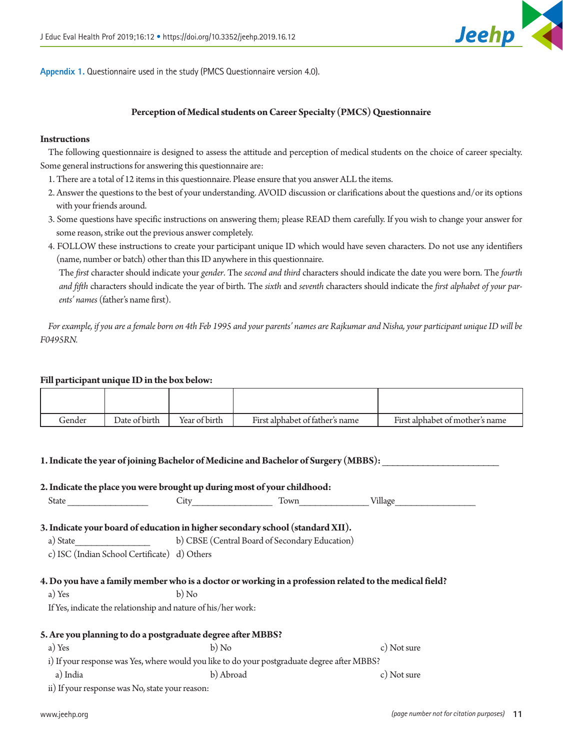

<span id="page-10-0"></span>**Appendix 1.** Questionnaire used in the study (PMCS Questionnaire version 4.0).

#### **Perception of Medical students on Career Specialty (PMCS) Questionnaire**

#### **Instructions**

The following questionnaire is designed to assess the attitude and perception of medical students on the choice of career specialty. Some general instructions for answering this questionnaire are:

- 1. There are a total of 12 items in this questionnaire. Please ensure that you answer ALL the items.
- 2. Answer the questions to the best of your understanding. AVOID discussion or clarifications about the questions and/or its options with your friends around.
- 3. Some questions have specific instructions on answering them; please READ them carefully. If you wish to change your answer for some reason, strike out the previous answer completely.
- 4. FOLLOW these instructions to create your participant unique ID which would have seven characters. Do not use any identifiers (name, number or batch) other than this ID anywhere in this questionnaire.

The *first* character should indicate your *gender*. The *second and third* characters should indicate the date you were born. The *fourth and fifth* characters should indicate the year of birth. The *sixth* and *seventh* characters should indicate the *first alphabet of your parents' names* (father's name first).

*For example, if you are a female born on 4th Feb 1995 and your parents' names are Rajkumar and Nisha, your participant unique ID will be F0495RN.*

#### **Fill participant unique ID in the box below:**

| Gender | Date of birth | Year of birth | First alphabet of father's name | First alphabet of mother's name |
|--------|---------------|---------------|---------------------------------|---------------------------------|

**1. Indicate the year of joining Bachelor of Medicine and Bachelor of Surgery (MBBS):** 

# *(page number not for citation purposes)* www.jeehp.org 11 **2. Indicate the place you were brought up during most of your childhood:** State \_\_\_\_\_\_\_\_\_\_\_\_\_\_\_ City\_\_\_\_\_\_\_\_\_\_\_\_\_\_\_ Town\_\_\_\_\_\_\_\_\_\_\_\_\_ Village\_\_\_\_\_\_\_\_\_\_\_\_\_\_\_ **3. Indicate your board of education in higher secondary school (standard XII).** a) State b) CBSE (Central Board of Secondary Education) c) ISC (Indian School Certificate) d) Others **4. Do you have a family member who is a doctor or working in a profession related to the medical field?**  a) Yes b) No If Yes, indicate the relationship and nature of his/her work: **5. Are you planning to do a postgraduate degree after MBBS?** a) Yes b) No c) No c) No c) No c) Not sure i) If your response was Yes, where would you like to do your postgraduate degree after MBBS? a) India and a b) Abroad c) Not sure ii) If your response was No, state your reason: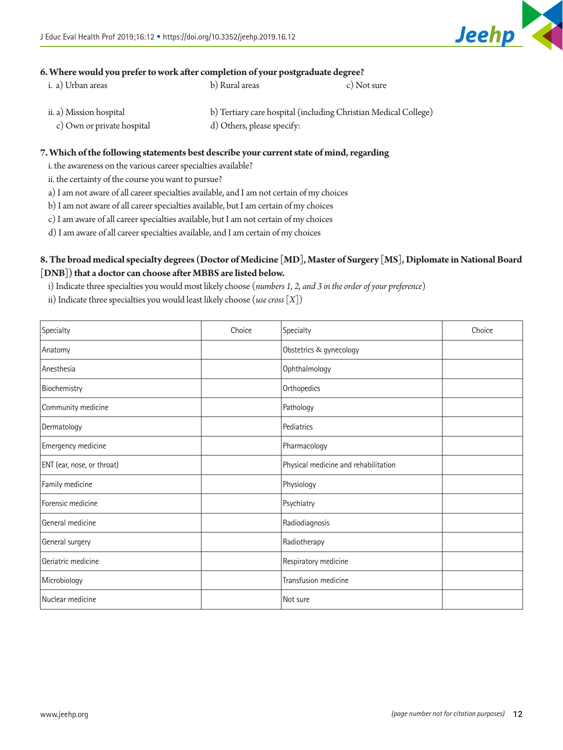

## **6. Where would you prefer to work after completion of your postgraduate degree?**

| i. a) Urban areas                         | b) Rural areas | c) Not sure                                                                                                                                                                                                                        |
|-------------------------------------------|----------------|------------------------------------------------------------------------------------------------------------------------------------------------------------------------------------------------------------------------------------|
|                                           |                |                                                                                                                                                                                                                                    |
| $\sim$ $\sim$ $\sim$ $\sim$ $\sim$ $\sim$ |                | the contract of the contract of the contract of the contract of the contract of the contract of the contract of<br>the contract of the contract of the contract of the contract of the contract of the contract of the contract of |

ii. a) Mission hospital b) Tertiary care hospital (including Christian Medical College) c) Own or private hospital d) Others, please specify:

#### **7. Which of the following statements best describe your current state of mind, regarding**

i. the awareness on the various career specialties available?

ii. the certainty of the course you want to pursue?

a) I am not aware of all career specialties available, and I am not certain of my choices

b) I am not aware of all career specialties available, but I am certain of my choices

c) I am aware of all career specialties available, but I am not certain of my choices

d) I am aware of all career specialties available, and I am certain of my choices

## **8. The broad medical specialty degrees (Doctor of Medicine [MD], Master of Surgery [MS], Diplomate in National Board [DNB]) that a doctor can choose after MBBS are listed below.**

i) Indicate three specialties you would most likely choose (*numbers 1, 2, and 3 in the order of your preference*)

ii) Indicate three specialties you would least likely choose (*use cross* [*X*])

| Specialty                  | Choice | Specialty                            | Choice |
|----------------------------|--------|--------------------------------------|--------|
| Anatomy                    |        | Obstetrics & gynecology              |        |
| Anesthesia                 |        | Ophthalmology                        |        |
| Biochemistry               |        | Orthopedics                          |        |
| Community medicine         |        | Pathology                            |        |
| Dermatology                |        | Pediatrics                           |        |
| Emergency medicine         |        | Pharmacology                         |        |
| ENT (ear, nose, or throat) |        | Physical medicine and rehabilitation |        |
| Family medicine            |        | Physiology                           |        |
| Forensic medicine          |        | Psychiatry                           |        |
| General medicine           |        | Radiodiagnosis                       |        |
| General surgery            |        | Radiotherapy                         |        |
| Geriatric medicine         |        | Respiratory medicine                 |        |
| Microbiology               |        | Transfusion medicine                 |        |
| Nuclear medicine           |        | Not sure                             |        |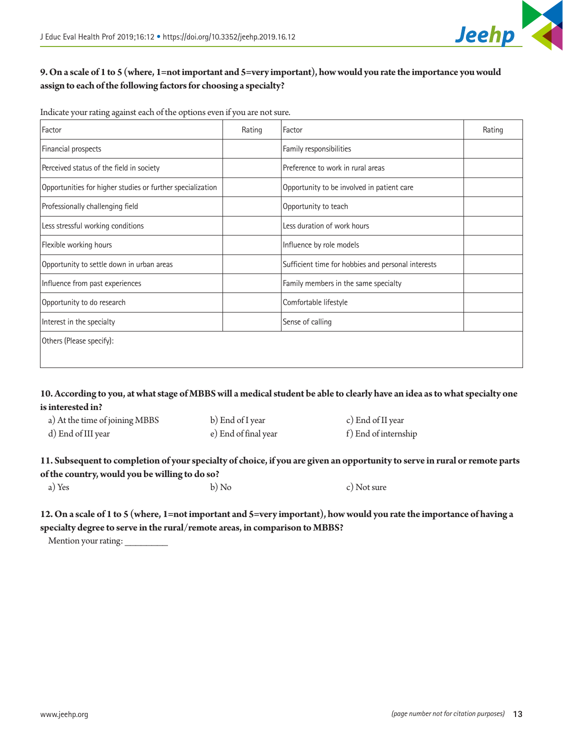

Indicate your rating against each of the options even if you are not sure.

| Factor                                                     | Rating | Factor                                             | Rating |
|------------------------------------------------------------|--------|----------------------------------------------------|--------|
| Financial prospects                                        |        | Family responsibilities                            |        |
| Perceived status of the field in society                   |        | Preference to work in rural areas                  |        |
| Opportunities for higher studies or further specialization |        | Opportunity to be involved in patient care         |        |
| Professionally challenging field                           |        | Opportunity to teach                               |        |
| Less stressful working conditions                          |        | Less duration of work hours                        |        |
| Flexible working hours                                     |        | Influence by role models                           |        |
| Opportunity to settle down in urban areas                  |        | Sufficient time for hobbies and personal interests |        |
| Influence from past experiences                            |        | Family members in the same specialty               |        |
| Opportunity to do research                                 |        | Comfortable lifestyle                              |        |
| Interest in the specialty                                  |        | Sense of calling                                   |        |
| Others (Please specify):                                   |        |                                                    |        |
|                                                            |        |                                                    |        |

## **10. According to you, at what stage of MBBS will a medical student be able to clearly have an idea as to what specialty one is interested in?**

| a) At the time of joining MBBS | b) End of I year     | c) End of II year    |
|--------------------------------|----------------------|----------------------|
| d) End of III year             | e) End of final year | f) End of internship |

## **11. Subsequent to completion of your specialty of choice, if you are given an opportunity to serve in rural or remote parts of the country, would you be willing to do so?**

a) Yes b) No c) Not sure

## **12. On a scale of 1 to 5 (where, 1=not important and 5=very important), how would you rate the importance of having a specialty degree to serve in the rural/remote areas, in comparison to MBBS?**

Mention your rating:

**Jeehp**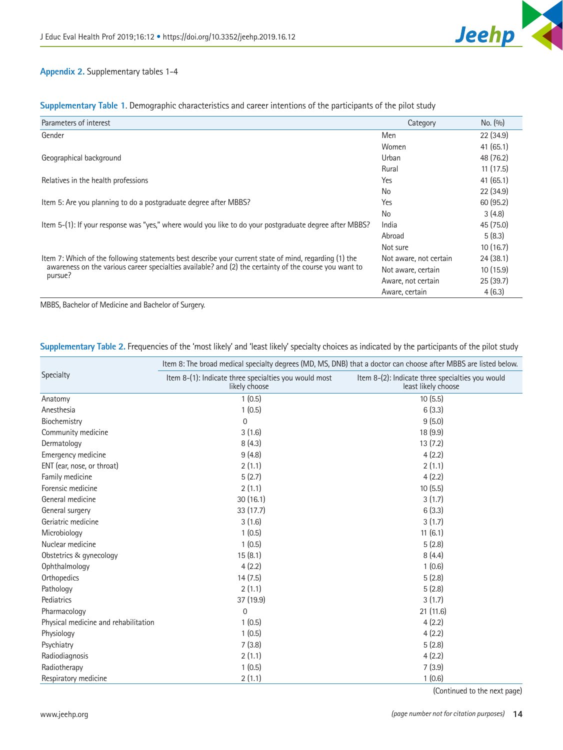

## <span id="page-13-0"></span>**Appendix 2.** Supplementary tables 1-4

|  | Supplementary Table 1. Demographic characteristics and career intentions of the participants of the pilot study |  |
|--|-----------------------------------------------------------------------------------------------------------------|--|
|  |                                                                                                                 |  |

| Parameters of interest                                                                                  | Category               | No. (9/0) |
|---------------------------------------------------------------------------------------------------------|------------------------|-----------|
| Gender                                                                                                  | Men                    | 22(34.9)  |
|                                                                                                         | Women                  | 41(65.1)  |
| Geographical background                                                                                 | Urban                  | 48 (76.2) |
|                                                                                                         | Rural                  | 11(17.5)  |
| Relatives in the health professions                                                                     | Yes                    | 41(65.1)  |
|                                                                                                         | N <sub>o</sub>         | 22(34.9)  |
| Item 5: Are you planning to do a postgraduate degree after MBBS?                                        | Yes                    | 60 (95.2) |
|                                                                                                         | No                     | 3(4.8)    |
| Item 5-(1): If your response was "yes," where would you like to do your postgraduate degree after MBBS? | India                  | 45 (75.0) |
|                                                                                                         | Abroad                 | 5(8.3)    |
|                                                                                                         | Not sure               | 10(16.7)  |
| Item 7: Which of the following statements best describe your current state of mind, regarding (1) the   | Not aware, not certain | 24(38.1)  |
| awareness on the various career specialties available? and (2) the certainty of the course you want to  | Not aware, certain     | 10(15.9)  |
| pursue?                                                                                                 | Aware, not certain     | 25(39.7)  |
|                                                                                                         | Aware, certain         | 4(6.3)    |

MBBS, Bachelor of Medicine and Bachelor of Surgery.

## **Supplementary Table 2.** Frequencies of the 'most likely' and 'least likely' specialty choices as indicated by the participants of the pilot study

|                                      | Item 8: The broad medical specialty degrees (MD, MS, DNB) that a doctor can choose after MBBS are listed below. |                                                                         |  |  |  |  |
|--------------------------------------|-----------------------------------------------------------------------------------------------------------------|-------------------------------------------------------------------------|--|--|--|--|
| Specialty                            | Item 8-(1): Indicate three specialties you would most<br>likely choose                                          | Item 8-(2): Indicate three specialties you would<br>least likely choose |  |  |  |  |
| Anatomy                              | 1(0.5)                                                                                                          | 10(5.5)                                                                 |  |  |  |  |
| Anesthesia                           | 1(0.5)                                                                                                          | 6(3.3)                                                                  |  |  |  |  |
| Biochemistry                         | $\Omega$                                                                                                        | 9(5.0)                                                                  |  |  |  |  |
| Community medicine                   | 3(1.6)                                                                                                          | 18 (9.9)                                                                |  |  |  |  |
| Dermatology                          | 8(4.3)                                                                                                          | 13(7.2)                                                                 |  |  |  |  |
| Emergency medicine                   | 9(4.8)                                                                                                          | 4(2.2)                                                                  |  |  |  |  |
| ENT (ear, nose, or throat)           | 2(1.1)                                                                                                          | 2(1.1)                                                                  |  |  |  |  |
| Family medicine                      | 5(2.7)                                                                                                          | 4(2.2)                                                                  |  |  |  |  |
| Forensic medicine                    | 2(1.1)                                                                                                          | 10(5.5)                                                                 |  |  |  |  |
| General medicine                     | 30(16.1)                                                                                                        | 3(1.7)                                                                  |  |  |  |  |
| General surgery                      | 33 (17.7)                                                                                                       | 6(3.3)                                                                  |  |  |  |  |
| Geriatric medicine                   | 3(1.6)                                                                                                          | 3(1.7)                                                                  |  |  |  |  |
| Microbiology                         | 1(0.5)                                                                                                          | 11(6.1)                                                                 |  |  |  |  |
| Nuclear medicine                     | 1(0.5)                                                                                                          | 5(2.8)                                                                  |  |  |  |  |
| Obstetrics & gynecology              | 15(8.1)                                                                                                         | 8(4.4)                                                                  |  |  |  |  |
| Ophthalmology                        | 4(2.2)                                                                                                          | 1(0.6)                                                                  |  |  |  |  |
| Orthopedics                          | 14(7.5)                                                                                                         | 5(2.8)                                                                  |  |  |  |  |
| Pathology                            | 2(1.1)                                                                                                          | 5(2.8)                                                                  |  |  |  |  |
| Pediatrics                           | 37 (19.9)                                                                                                       | 3(1.7)                                                                  |  |  |  |  |
| Pharmacology                         | $\Omega$                                                                                                        | 21 (11.6)                                                               |  |  |  |  |
| Physical medicine and rehabilitation | 1(0.5)                                                                                                          | 4(2.2)                                                                  |  |  |  |  |
| Physiology                           | 1(0.5)                                                                                                          | 4(2.2)                                                                  |  |  |  |  |
| Psychiatry                           | 7(3.8)                                                                                                          | 5(2.8)                                                                  |  |  |  |  |
| Radiodiagnosis                       | 2(1.1)                                                                                                          | 4(2.2)                                                                  |  |  |  |  |
| Radiotherapy                         | 1(0.5)                                                                                                          | 7(3.9)                                                                  |  |  |  |  |
| Respiratory medicine                 | 2(1.1)                                                                                                          | 1(0.6)                                                                  |  |  |  |  |

(Continued to the next page)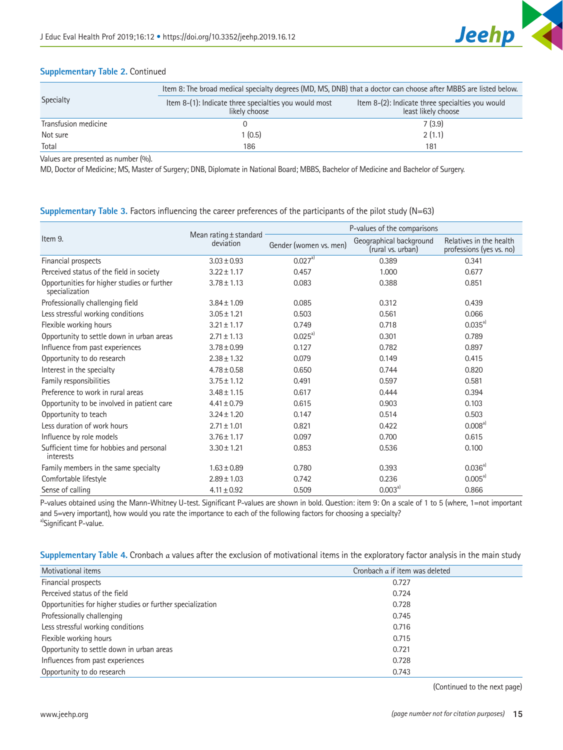

## **Supplementary Table 2.** Continued

|                      |                                                                        | Item 8: The broad medical specialty degrees (MD, MS, DNB) that a doctor can choose after MBBS are listed below. |  |  |  |  |
|----------------------|------------------------------------------------------------------------|-----------------------------------------------------------------------------------------------------------------|--|--|--|--|
| Specialty            | Item 8-(1): Indicate three specialties you would most<br>likely choose | Item 8-(2): Indicate three specialties you would<br>least likely choose                                         |  |  |  |  |
| Transfusion medicine |                                                                        | 7(3.9)                                                                                                          |  |  |  |  |
| Not sure             | 1(0.5)                                                                 | 2(1.1)                                                                                                          |  |  |  |  |
| Total                | 186                                                                    | 181                                                                                                             |  |  |  |  |

Values are presented as number (%).

MD, Doctor of Medicine; MS, Master of Surgery; DNB, Diplomate in National Board; MBBS, Bachelor of Medicine and Bachelor of Surgery.

### **Supplementary Table 3.** Factors influencing the career preferences of the participants of the pilot study (N=63)

|                                                               |                                     |                        | P-values of the comparisons                  |                                                     |  |
|---------------------------------------------------------------|-------------------------------------|------------------------|----------------------------------------------|-----------------------------------------------------|--|
| Item 9.                                                       | Mean rating ± standard<br>deviation | Gender (women vs. men) | Geographical background<br>(rural vs. urban) | Relatives in the health<br>professions (yes vs. no) |  |
| Financial prospects                                           | $3.03 \pm 0.93$                     | $0.027a}$              | 0.389                                        | 0.341                                               |  |
| Perceived status of the field in society                      | $3.22 \pm 1.17$                     | 0.457                  | 1.000                                        | 0.677                                               |  |
| Opportunities for higher studies or further<br>specialization | $3.78 \pm 1.13$                     | 0.083                  | 0.388                                        | 0.851                                               |  |
| Professionally challenging field                              | $3.84 \pm 1.09$                     | 0.085                  | 0.312                                        | 0.439                                               |  |
| Less stressful working conditions                             | $3.05 \pm 1.21$                     | 0.503                  | 0.561                                        | 0.066                                               |  |
| Flexible working hours                                        | $3.21 \pm 1.17$                     | 0.749                  | 0.718                                        | $0.035^{a}$                                         |  |
| Opportunity to settle down in urban areas                     | $2.71 \pm 1.13$                     | $0.025^{a}$            | 0.301                                        | 0.789                                               |  |
| Influence from past experiences                               | $3.78 \pm 0.99$                     | 0.127                  | 0.782                                        | 0.897                                               |  |
| Opportunity to do research                                    | $2.38 \pm 1.32$                     | 0.079                  | 0.149                                        | 0.415                                               |  |
| Interest in the specialty                                     | $4.78 \pm 0.58$                     | 0.650                  | 0.744                                        | 0.820                                               |  |
| Family responsibilities                                       | $3.75 \pm 1.12$                     | 0.491                  | 0.597                                        | 0.581                                               |  |
| Preference to work in rural areas                             | $3.48 \pm 1.15$                     | 0.617                  | 0.444                                        | 0.394                                               |  |
| Opportunity to be involved in patient care                    | $4.41 \pm 0.79$                     | 0.615                  | 0.903                                        | 0.103                                               |  |
| Opportunity to teach                                          | $3.24 \pm 1.20$                     | 0.147                  | 0.514                                        | 0.503                                               |  |
| Less duration of work hours                                   | $2.71 \pm 1.01$                     | 0.821                  | 0.422                                        | $0.008^{a}$                                         |  |
| Influence by role models                                      | $3.76 \pm 1.17$                     | 0.097                  | 0.700                                        | 0.615                                               |  |
| Sufficient time for hobbies and personal<br>interests         | $3.30 \pm 1.21$                     | 0.853                  | 0.536                                        | 0.100                                               |  |
| Family members in the same specialty                          | $1.63 \pm 0.89$                     | 0.780                  | 0.393                                        | $0.036a^{})$                                        |  |
| Comfortable lifestyle                                         | $2.89 \pm 1.03$                     | 0.742                  | 0.236                                        | $0.005^{a}$                                         |  |
| Sense of calling                                              | $4.11 \pm 0.92$                     | 0.509                  | $0.003^{a}$                                  | 0.866                                               |  |

P-values obtained using the Mann-Whitney U-test. Significant P-values are shown in bold. Question: item 9: On a scale of 1 to 5 (where, 1=not important and 5=very important), how would you rate the importance to each of the following factors for choosing a specialty? a)Significant P-value.

| Supplementary Table 4. Cronbach a values after the exclusion of motivational items in the exploratory factor analysis in the main study |  |  |  |  |  |
|-----------------------------------------------------------------------------------------------------------------------------------------|--|--|--|--|--|
|                                                                                                                                         |  |  |  |  |  |

| Motivational items                                         | Cronbach $\alpha$ if item was deleted |
|------------------------------------------------------------|---------------------------------------|
| Financial prospects                                        | 0.727                                 |
| Perceived status of the field                              | 0.724                                 |
| Opportunities for higher studies or further specialization | 0.728                                 |
| Professionally challenging                                 | 0.745                                 |
| Less stressful working conditions                          | 0.716                                 |
| Flexible working hours                                     | 0.715                                 |
| Opportunity to settle down in urban areas                  | 0.721                                 |
| Influences from past experiences                           | 0.728                                 |
| Opportunity to do research                                 | 0.743                                 |

(Continued to the next page)